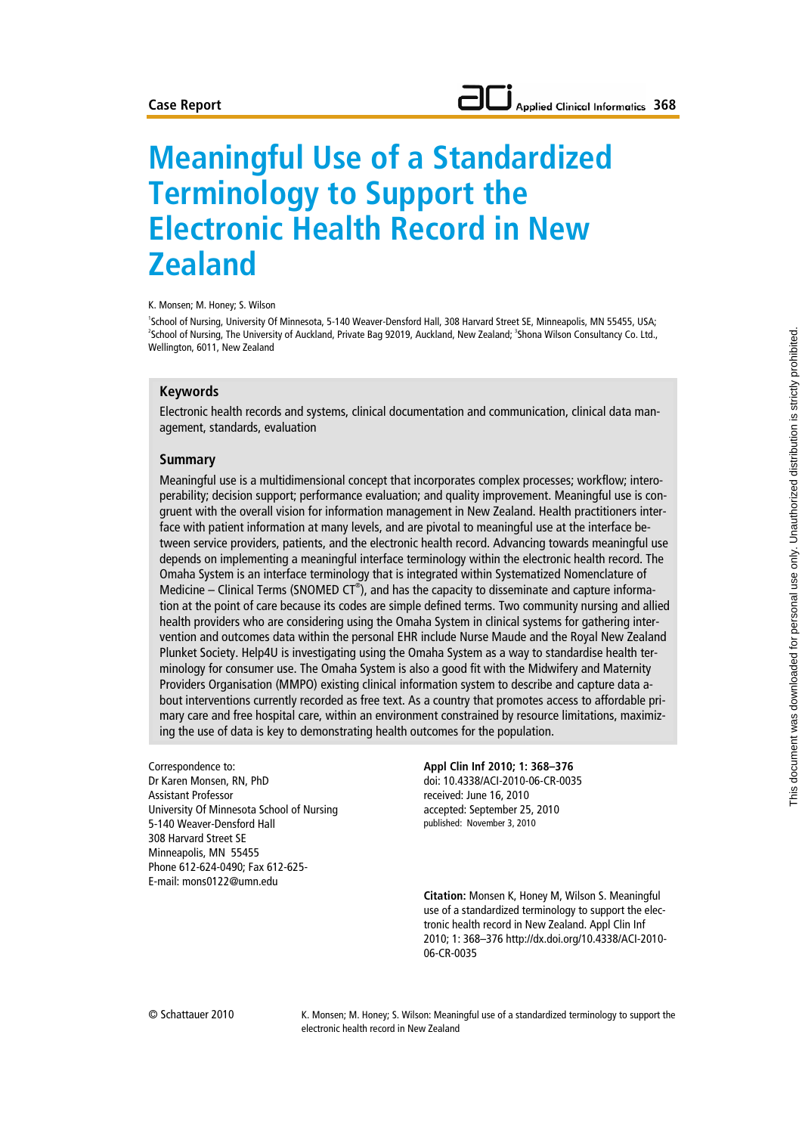# **Meaningful Use of a Standardized Terminology to Support the Electronic Health Record in New Zealand**

#### K. Monsen; M. Honey; S. Wilson

School of Nursing, University Of Minnesota, 5-140 Weaver-Densford Hall, 308 Harvard Street SE, Minneapolis, MN 55455, USA;<br><sup>2</sup>School of Nursing, The University of Auckland, Rrivate Bag 02010, Auckland, Nav Zaaland: <sup>2</sup>Shop School of Nursing, The University of Auckland, Private Bag 92019, Auckland, New Zealand; <sup>3</sup>Shona Wilson Consultancy Co. Ltd., Wellington, 6011, New Zealand

#### **Keywords**

Electronic health records and systems, clinical documentation and communication, clinical data management, standards, evaluation

#### **Summary**

Meaningful use is a multidimensional concept that incorporates complex processes; workflow; interoperability; decision support; performance evaluation; and quality improvement. Meaningful use is congruent with the overall vision for information management in New Zealand. Health practitioners interface with patient information at many levels, and are pivotal to meaningful use at the interface between service providers, patients, and the electronic health record. Advancing towards meaningful use depends on implementing a meaningful interface terminology within the electronic health record. The Omaha System is an interface terminology that is integrated within Systematized Nomenclature of Medicine  $-$  Clinical Terms (SNOMED CT®), and has the capacity to disseminate and capture information at the point of care because its codes are simple defined terms. Two community nursing and allied health providers who are considering using the Omaha System in clinical systems for gathering intervention and outcomes data within the personal EHR include Nurse Maude and the Royal New Zealand Plunket Society. Help4U is investigating using the Omaha System as a way to standardise health terminology for consumer use. The Omaha System is also a good fit with the Midwifery and Maternity Providers Organisation (MMPO) existing clinical information system to describe and capture data about interventions currently recorded as free text. As a country that promotes access to affordable primary care and free hospital care, within an environment constrained by resource limitations, maximizing the use of data is key to demonstrating health outcomes for the population.

Correspondence to: Dr Karen Monsen, RN, PhD Assistant Professor University Of Minnesota School of Nursing 5-140 Weaver-Densford Hall 308 Harvard Street SE Minneapolis, MN 55455 Phone 612-624-0490; Fax 612-625- E-mail: mons0122@umn.edu

#### **Appl Clin Inf 2010; 1: 368–376**

doi: 10.4338/ACI-2010-06-CR-0035 received: June 16, 2010 accepted: September 25, 2010 published: November 3, 2010

**Citation:** Monsen K, Honey M, Wilson S. Meaningful use of a standardized terminology to support the electronic health record in New Zealand. Appl Clin Inf 2010; 1: 368–376 http://dx.doi.org/10.4338/ACI-2010- 06-CR-0035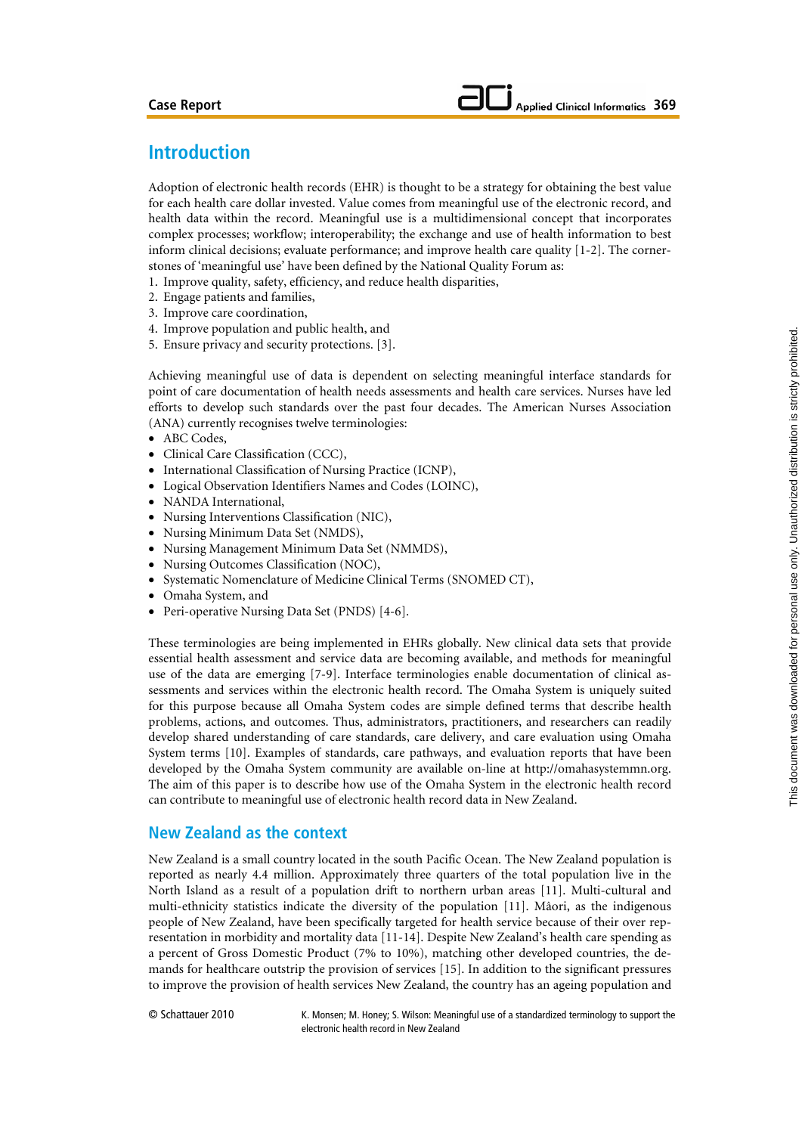# **Introduction**

Adoption of electronic health records (EHR) is thought to be a strategy for obtaining the best value for each health care dollar invested. Value comes from meaningful use of the electronic record, and health data within the record. Meaningful use is a multidimensional concept that incorporates complex processes; workflow; interoperability; the exchange and use of health information to best inform clinical decisions; evaluate performance; and improve health care quality [1-2]. The cornerstones of 'meaningful use' have been defined by the National Quality Forum as:

- 1. Improve quality, safety, efficiency, and reduce health disparities,
- 2. Engage patients and families,
- 3. Improve care coordination,
- 4. Improve population and public health, and
- 5. Ensure privacy and security protections. [3].

Achieving meaningful use of data is dependent on selecting meaningful interface standards for point of care documentation of health needs assessments and health care services. Nurses have led efforts to develop such standards over the past four decades. The American Nurses Association (ANA) currently recognises twelve terminologies:

- ABC Codes,
- Clinical Care Classification (CCC),
- International Classification of Nursing Practice (ICNP),
- Logical Observation Identifiers Names and Codes (LOINC),
- NANDA International,
- Nursing Interventions Classification (NIC),
- Nursing Minimum Data Set (NMDS),
- Nursing Management Minimum Data Set (NMMDS),
- Nursing Outcomes Classification (NOC),
- Systematic Nomenclature of Medicine Clinical Terms (SNOMED CT),
- Omaha System, and
- Peri-operative Nursing Data Set (PNDS) [4-6].

These terminologies are being implemented in EHRs globally. New clinical data sets that provide essential health assessment and service data are becoming available, and methods for meaningful use of the data are emerging [7-9]. Interface terminologies enable documentation of clinical assessments and services within the electronic health record. The Omaha System is uniquely suited for this purpose because all Omaha System codes are simple defined terms that describe health problems, actions, and outcomes. Thus, administrators, practitioners, and researchers can readily develop shared understanding of care standards, care delivery, and care evaluation using Omaha System terms [10]. Examples of standards, care pathways, and evaluation reports that have been developed by the Omaha System community are available on-line at http://omahasystemmn.org. The aim of this paper is to describe how use of the Omaha System in the electronic health record can contribute to meaningful use of electronic health record data in New Zealand.

## **New Zealand as the context**

New Zealand is a small country located in the south Pacific Ocean. The New Zealand population is reported as nearly 4.4 million. Approximately three quarters of the total population live in the North Island as a result of a population drift to northern urban areas [11]. Multi-cultural and multi-ethnicity statistics indicate the diversity of the population [11]. Mâori, as the indigenous people of New Zealand, have been specifically targeted for health service because of their over representation in morbidity and mortality data [11-14]. Despite New Zealand's health care spending as a percent of Gross Domestic Product (7% to 10%), matching other developed countries, the demands for healthcare outstrip the provision of services [15]. In addition to the significant pressures to improve the provision of health services New Zealand, the country has an ageing population and

© Schattauer 2010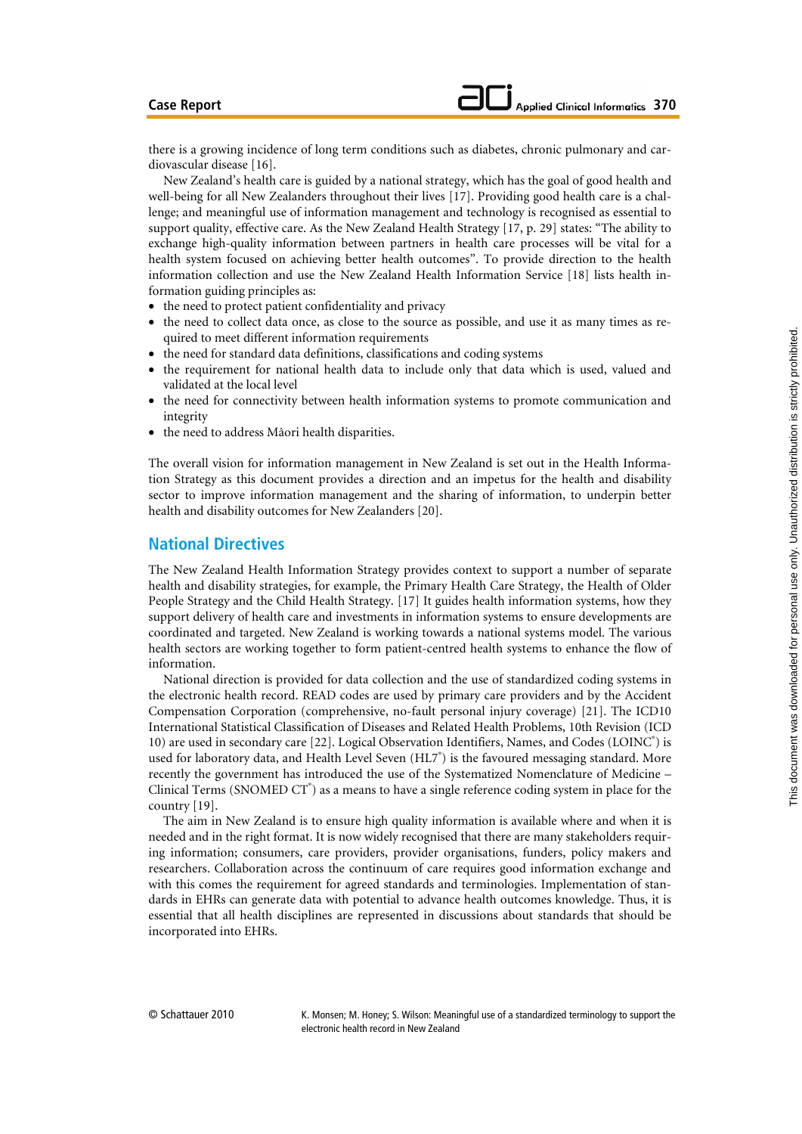#### **Case Report**

there is a growing incidence of long term conditions such as diabetes, chronic pulmonary and cardiovascular disease [16].

New Zealand's health care is guided by a national strategy, which has the goal of good health and well-being for all New Zealanders throughout their lives [17]. Providing good health care is a challenge; and meaningful use of information management and technology is recognised as essential to support quality, effective care. As the New Zealand Health Strategy [17, p. 29] states: "The ability to exchange high-quality information between partners in health care processes will be vital for a health system focused on achieving better health outcomes". To provide direction to the health information collection and use the New Zealand Health Information Service [18] lists health information guiding principles as:

- the need to protect patient confidentiality and privacy
- the need to collect data once, as close to the source as possible, and use it as many times as required to meet different information requirements
- the need for standard data definitions, classifications and coding systems
- the requirement for national health data to include only that data which is used, valued and validated at the local level
- the need for connectivity between health information systems to promote communication and integrity
- the need to address Mâori health disparities.

The overall vision for information management in New Zealand is set out in the Health Information Strategy as this document provides a direction and an impetus for the health and disability sector to improve information management and the sharing of information, to underpin better health and disability outcomes for New Zealanders [20].

#### **National Directives**

The New Zealand Health Information Strategy provides context to support a number of separate health and disability strategies, for example, the Primary Health Care Strategy, the Health of Older People Strategy and the Child Health Strategy. [17] It guides health information systems, how they support delivery of health care and investments in information systems to ensure developments are coordinated and targeted. New Zealand is working towards a national systems model. The various health sectors are working together to form patient-centred health systems to enhance the flow of information.

National direction is provided for data collection and the use of standardized coding systems in the electronic health record. READ codes are used by primary care providers and by the Accident Compensation Corporation (comprehensive, no-fault personal injury coverage) [21]. The ICD10 International Statistical Classification of Diseases and Related Health Problems, 10th Revision (ICD 10) are used in secondary care [22]. Logical Observation Identifiers, Names, and Codes (LOINC®) is used for laboratory data, and Health Level Seven (HL7<sup>®</sup>) is the favoured messaging standard. More recently the government has introduced the use of the Systematized Nomenclature of Medicine – Clinical Terms (SNOMED CT®) as a means to have a single reference coding system in place for the country [19].

The aim in New Zealand is to ensure high quality information is available where and when it is needed and in the right format. It is now widely recognised that there are many stakeholders requiring information; consumers, care providers, provider organisations, funders, policy makers and researchers. Collaboration across the continuum of care requires good information exchange and with this comes the requirement for agreed standards and terminologies. Implementation of standards in EHRs can generate data with potential to advance health outcomes knowledge. Thus, it is essential that all health disciplines are represented in discussions about standards that should be incorporated into EHRs.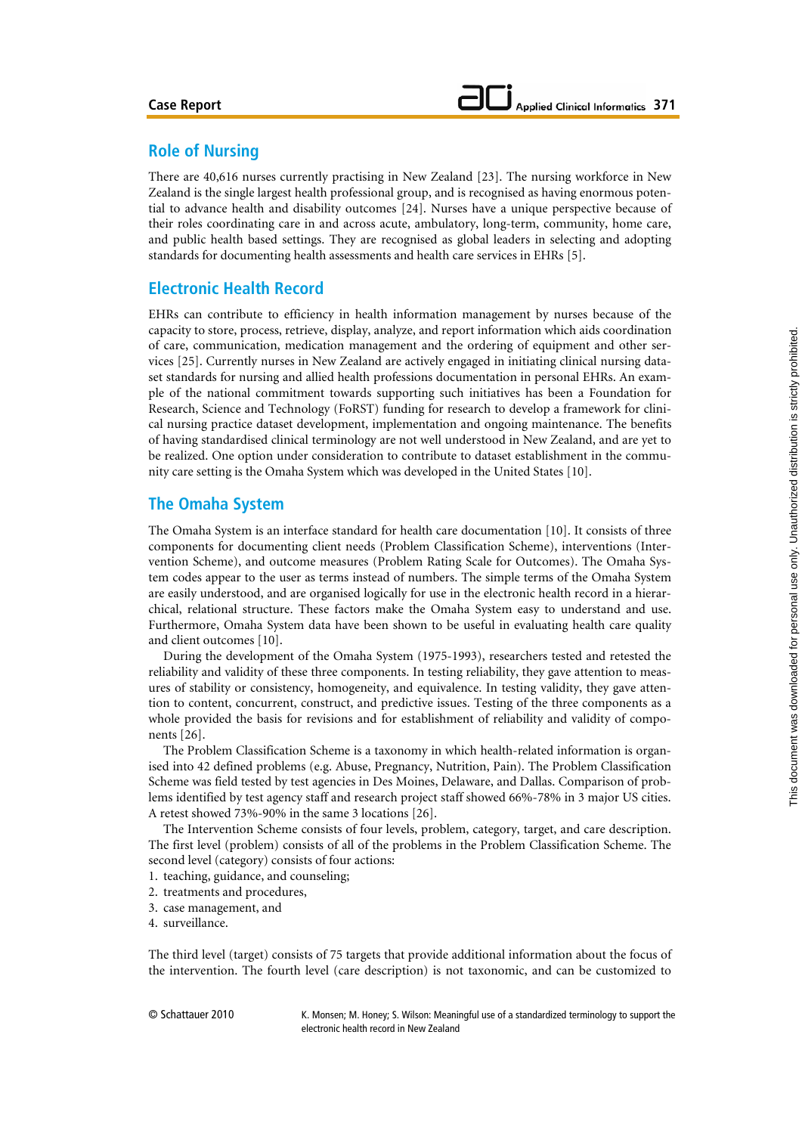## **Role of Nursing**

There are 40,616 nurses currently practising in New Zealand [23]. The nursing workforce in New Zealand is the single largest health professional group, and is recognised as having enormous potential to advance health and disability outcomes [24]. Nurses have a unique perspective because of their roles coordinating care in and across acute, ambulatory, long-term, community, home care, and public health based settings. They are recognised as global leaders in selecting and adopting standards for documenting health assessments and health care services in EHRs [5].

## **Electronic Health Record**

EHRs can contribute to efficiency in health information management by nurses because of the capacity to store, process, retrieve, display, analyze, and report information which aids coordination of care, communication, medication management and the ordering of equipment and other services [25]. Currently nurses in New Zealand are actively engaged in initiating clinical nursing dataset standards for nursing and allied health professions documentation in personal EHRs. An example of the national commitment towards supporting such initiatives has been a Foundation for Research, Science and Technology (FoRST) funding for research to develop a framework for clinical nursing practice dataset development, implementation and ongoing maintenance. The benefits of having standardised clinical terminology are not well understood in New Zealand, and are yet to be realized. One option under consideration to contribute to dataset establishment in the community care setting is the Omaha System which was developed in the United States [10].

## **The Omaha System**

The Omaha System is an interface standard for health care documentation [10]. It consists of three components for documenting client needs (Problem Classification Scheme), interventions (Intervention Scheme), and outcome measures (Problem Rating Scale for Outcomes). The Omaha System codes appear to the user as terms instead of numbers. The simple terms of the Omaha System are easily understood, and are organised logically for use in the electronic health record in a hierarchical, relational structure. These factors make the Omaha System easy to understand and use. Furthermore, Omaha System data have been shown to be useful in evaluating health care quality and client outcomes [10].

During the development of the Omaha System (1975-1993), researchers tested and retested the reliability and validity of these three components. In testing reliability, they gave attention to measures of stability or consistency, homogeneity, and equivalence. In testing validity, they gave attention to content, concurrent, construct, and predictive issues. Testing of the three components as a whole provided the basis for revisions and for establishment of reliability and validity of components [26].

The Problem Classification Scheme is a taxonomy in which health-related information is organised into 42 defined problems (e.g. Abuse, Pregnancy, Nutrition, Pain). The Problem Classification Scheme was field tested by test agencies in Des Moines, Delaware, and Dallas. Comparison of problems identified by test agency staff and research project staff showed 66%-78% in 3 major US cities. A retest showed 73%-90% in the same 3 locations [26].

The Intervention Scheme consists of four levels, problem, category, target, and care description. The first level (problem) consists of all of the problems in the Problem Classification Scheme. The second level (category) consists of four actions:

- 1. teaching, guidance, and counseling;
- 2. treatments and procedures,
- 3. case management, and

4. surveillance.

The third level (target) consists of 75 targets that provide additional information about the focus of the intervention. The fourth level (care description) is not taxonomic, and can be customized to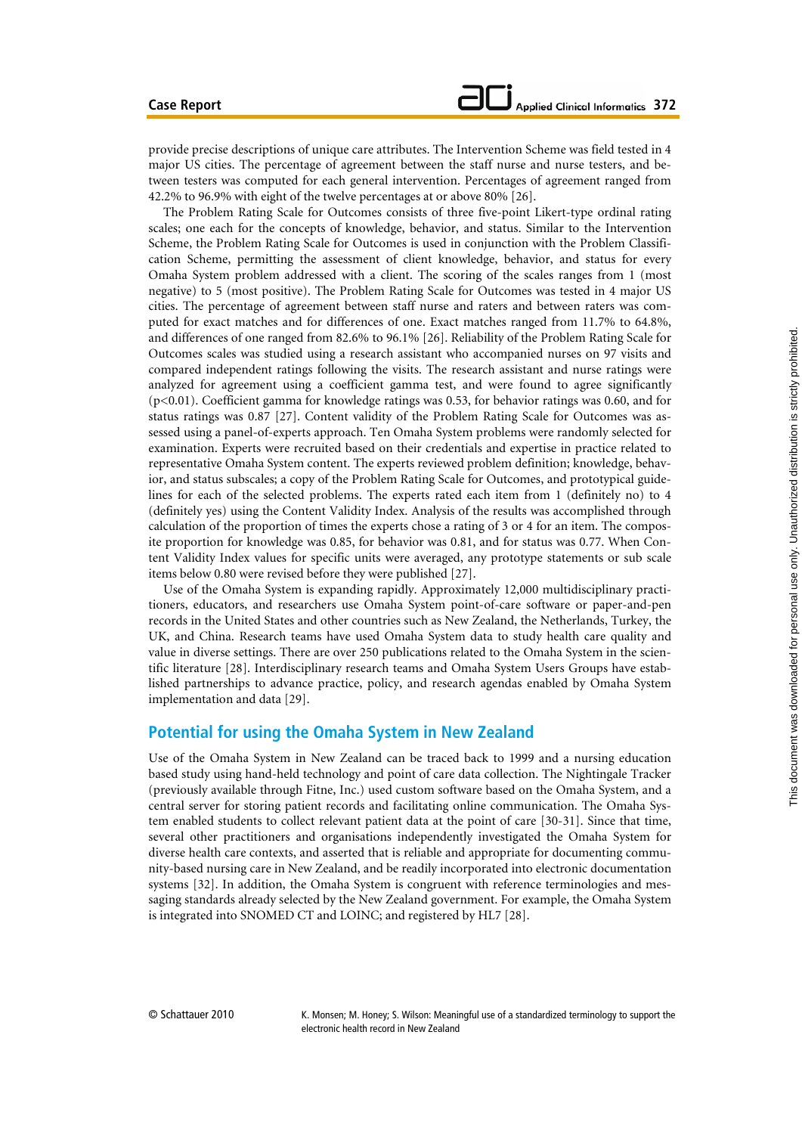provide precise descriptions of unique care attributes. The Intervention Scheme was field tested in 4 major US cities. The percentage of agreement between the staff nurse and nurse testers, and between testers was computed for each general intervention. Percentages of agreement ranged from 42.2% to 96.9% with eight of the twelve percentages at or above 80% [26].

The Problem Rating Scale for Outcomes consists of three five-point Likert-type ordinal rating scales; one each for the concepts of knowledge, behavior, and status. Similar to the Intervention Scheme, the Problem Rating Scale for Outcomes is used in conjunction with the Problem Classification Scheme, permitting the assessment of client knowledge, behavior, and status for every Omaha System problem addressed with a client. The scoring of the scales ranges from 1 (most negative) to 5 (most positive). The Problem Rating Scale for Outcomes was tested in 4 major US cities. The percentage of agreement between staff nurse and raters and between raters was computed for exact matches and for differences of one. Exact matches ranged from 11.7% to 64.8%, and differences of one ranged from 82.6% to 96.1% [26]. Reliability of the Problem Rating Scale for Outcomes scales was studied using a research assistant who accompanied nurses on 97 visits and compared independent ratings following the visits. The research assistant and nurse ratings were analyzed for agreement using a coefficient gamma test, and were found to agree significantly (p<0.01). Coefficient gamma for knowledge ratings was 0.53, for behavior ratings was 0.60, and for status ratings was 0.87 [27]. Content validity of the Problem Rating Scale for Outcomes was assessed using a panel-of-experts approach. Ten Omaha System problems were randomly selected for examination. Experts were recruited based on their credentials and expertise in practice related to representative Omaha System content. The experts reviewed problem definition; knowledge, behavior, and status subscales; a copy of the Problem Rating Scale for Outcomes, and prototypical guidelines for each of the selected problems. The experts rated each item from 1 (definitely no) to 4 (definitely yes) using the Content Validity Index. Analysis of the results was accomplished through calculation of the proportion of times the experts chose a rating of 3 or 4 for an item. The composite proportion for knowledge was 0.85, for behavior was 0.81, and for status was 0.77. When Content Validity Index values for specific units were averaged, any prototype statements or sub scale items below 0.80 were revised before they were published [27].

Use of the Omaha System is expanding rapidly. Approximately 12,000 multidisciplinary practitioners, educators, and researchers use Omaha System point-of-care software or paper-and-pen records in the United States and other countries such as New Zealand, the Netherlands, Turkey, the UK, and China. Research teams have used Omaha System data to study health care quality and value in diverse settings. There are over 250 publications related to the Omaha System in the scientific literature [28]. Interdisciplinary research teams and Omaha System Users Groups have established partnerships to advance practice, policy, and research agendas enabled by Omaha System implementation and data [29].

### **Potential for using the Omaha System in New Zealand**

Use of the Omaha System in New Zealand can be traced back to 1999 and a nursing education based study using hand-held technology and point of care data collection. The Nightingale Tracker (previously available through Fitne, Inc.) used custom software based on the Omaha System, and a central server for storing patient records and facilitating online communication. The Omaha System enabled students to collect relevant patient data at the point of care [30-31]. Since that time, several other practitioners and organisations independently investigated the Omaha System for diverse health care contexts, and asserted that is reliable and appropriate for documenting community-based nursing care in New Zealand, and be readily incorporated into electronic documentation systems [32]. In addition, the Omaha System is congruent with reference terminologies and messaging standards already selected by the New Zealand government. For example, the Omaha System is integrated into SNOMED CT and LOINC; and registered by HL7 [28].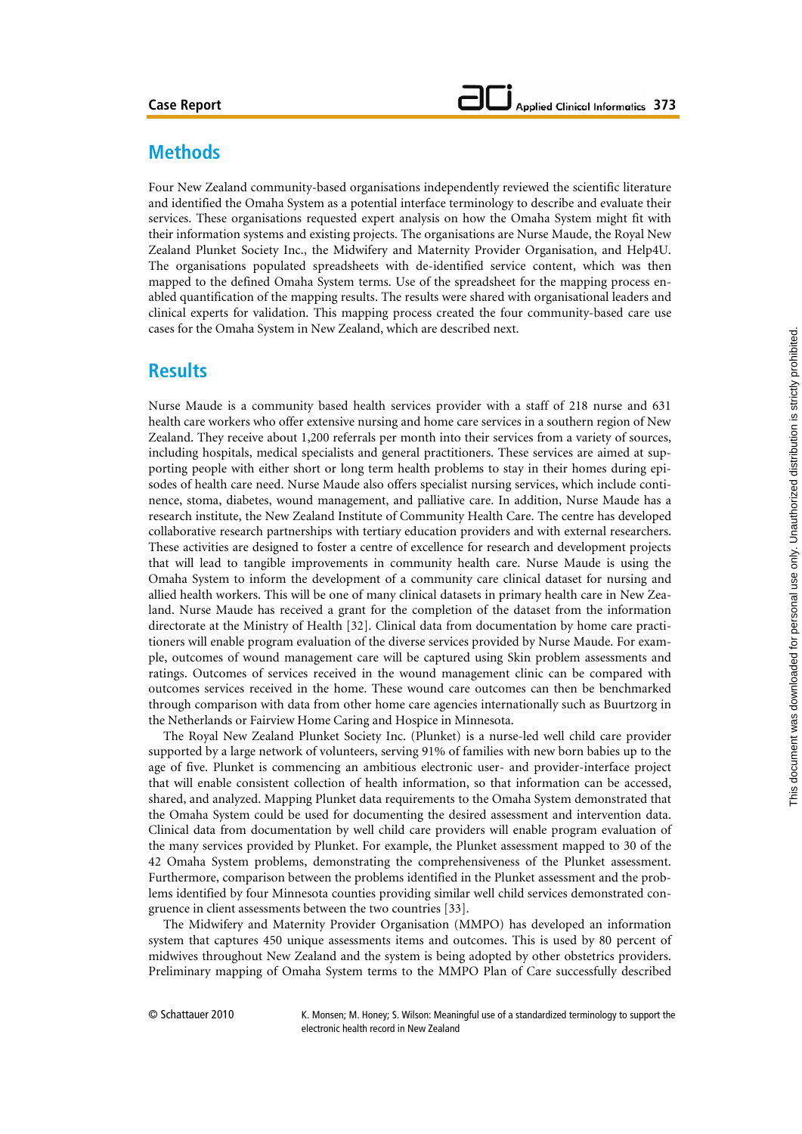## **Methods**

Four New Zealand community-based organisations independently reviewed the scientific literature and identified the Omaha System as a potential interface terminology to describe and evaluate their services. These organisations requested expert analysis on how the Omaha System might fit with their information systems and existing projects. The organisations are Nurse Maude, the Royal New Zealand Plunket Society Inc., the Midwifery and Maternity Provider Organisation, and Help4U. The organisations populated spreadsheets with de-identified service content, which was then mapped to the defined Omaha System terms. Use of the spreadsheet for the mapping process enabled quantification of the mapping results. The results were shared with organisational leaders and clinical experts for validation. This mapping process created the four community-based care use cases for the Omaha System in New Zealand, which are described next.

## **Results**

Nurse Maude is a community based health services provider with a staff of 218 nurse and 631 health care workers who offer extensive nursing and home care services in a southern region of New Zealand. They receive about 1,200 referrals per month into their services from a variety of sources, including hospitals, medical specialists and general practitioners. These services are aimed at supporting people with either short or long term health problems to stay in their homes during episodes of health care need. Nurse Maude also offers specialist nursing services, which include continence, stoma, diabetes, wound management, and palliative care. In addition, Nurse Maude has a research institute, the New Zealand Institute of Community Health Care. The centre has developed collaborative research partnerships with tertiary education providers and with external researchers. These activities are designed to foster a centre of excellence for research and development projects that will lead to tangible improvements in community health care. Nurse Maude is using the Omaha System to inform the development of a community care clinical dataset for nursing and allied health workers. This will be one of many clinical datasets in primary health care in New Zealand. Nurse Maude has received a grant for the completion of the dataset from the information directorate at the Ministry of Health [32]. Clinical data from documentation by home care practitioners will enable program evaluation of the diverse services provided by Nurse Maude. For example, outcomes of wound management care will be captured using Skin problem assessments and ratings. Outcomes of services received in the wound management clinic can be compared with outcomes services received in the home. These wound care outcomes can then be benchmarked through comparison with data from other home care agencies internationally such as Buurtzorg in the Netherlands or Fairview Home Caring and Hospice in Minnesota.

The Royal New Zealand Plunket Society Inc. (Plunket) is a nurse-led well child care provider supported by a large network of volunteers, serving 91% of families with new born babies up to the age of five. Plunket is commencing an ambitious electronic user- and provider-interface project that will enable consistent collection of health information, so that information can be accessed, shared, and analyzed. Mapping Plunket data requirements to the Omaha System demonstrated that the Omaha System could be used for documenting the desired assessment and intervention data. Clinical data from documentation by well child care providers will enable program evaluation of the many services provided by Plunket. For example, the Plunket assessment mapped to 30 of the 42 Omaha System problems, demonstrating the comprehensiveness of the Plunket assessment. Furthermore, comparison between the problems identified in the Plunket assessment and the problems identified by four Minnesota counties providing similar well child services demonstrated congruence in client assessments between the two countries [33].

The Midwifery and Maternity Provider Organisation (MMPO) has developed an information system that captures 450 unique assessments items and outcomes. This is used by 80 percent of midwives throughout New Zealand and the system is being adopted by other obstetrics providers. Preliminary mapping of Omaha System terms to the MMPO Plan of Care successfully described

© Schattauer 2010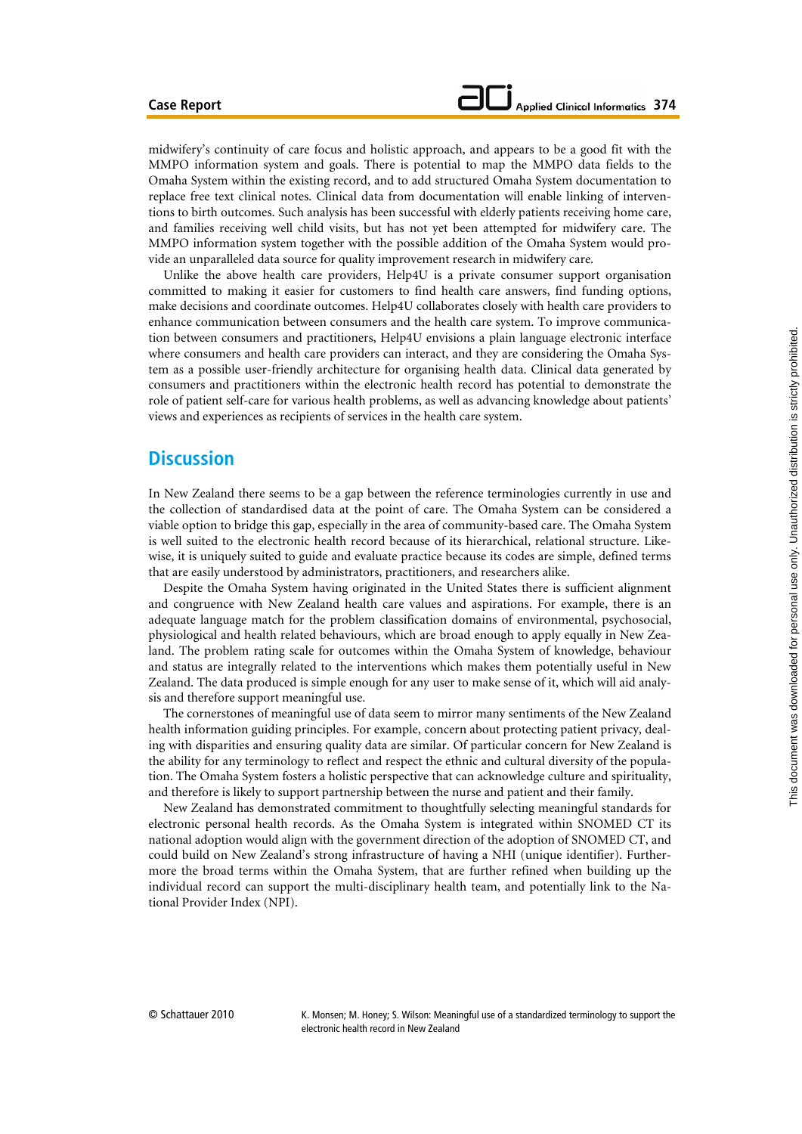midwifery's continuity of care focus and holistic approach, and appears to be a good fit with the MMPO information system and goals. There is potential to map the MMPO data fields to the Omaha System within the existing record, and to add structured Omaha System documentation to replace free text clinical notes. Clinical data from documentation will enable linking of interventions to birth outcomes. Such analysis has been successful with elderly patients receiving home care, and families receiving well child visits, but has not yet been attempted for midwifery care. The MMPO information system together with the possible addition of the Omaha System would provide an unparalleled data source for quality improvement research in midwifery care.

Unlike the above health care providers, Help4U is a private consumer support organisation committed to making it easier for customers to find health care answers, find funding options, make decisions and coordinate outcomes. Help4U collaborates closely with health care providers to enhance communication between consumers and the health care system. To improve communication between consumers and practitioners, Help4U envisions a plain language electronic interface where consumers and health care providers can interact, and they are considering the Omaha System as a possible user-friendly architecture for organising health data. Clinical data generated by consumers and practitioners within the electronic health record has potential to demonstrate the role of patient self-care for various health problems, as well as advancing knowledge about patients' views and experiences as recipients of services in the health care system.

## **Discussion**

In New Zealand there seems to be a gap between the reference terminologies currently in use and the collection of standardised data at the point of care. The Omaha System can be considered a viable option to bridge this gap, especially in the area of community-based care. The Omaha System is well suited to the electronic health record because of its hierarchical, relational structure. Likewise, it is uniquely suited to guide and evaluate practice because its codes are simple, defined terms that are easily understood by administrators, practitioners, and researchers alike.

Despite the Omaha System having originated in the United States there is sufficient alignment and congruence with New Zealand health care values and aspirations. For example, there is an adequate language match for the problem classification domains of environmental, psychosocial, physiological and health related behaviours, which are broad enough to apply equally in New Zealand. The problem rating scale for outcomes within the Omaha System of knowledge, behaviour and status are integrally related to the interventions which makes them potentially useful in New Zealand. The data produced is simple enough for any user to make sense of it, which will aid analysis and therefore support meaningful use.

The cornerstones of meaningful use of data seem to mirror many sentiments of the New Zealand health information guiding principles. For example, concern about protecting patient privacy, dealing with disparities and ensuring quality data are similar. Of particular concern for New Zealand is the ability for any terminology to reflect and respect the ethnic and cultural diversity of the population. The Omaha System fosters a holistic perspective that can acknowledge culture and spirituality, and therefore is likely to support partnership between the nurse and patient and their family.

New Zealand has demonstrated commitment to thoughtfully selecting meaningful standards for electronic personal health records. As the Omaha System is integrated within SNOMED CT its national adoption would align with the government direction of the adoption of SNOMED CT, and could build on New Zealand's strong infrastructure of having a NHI (unique identifier). Furthermore the broad terms within the Omaha System, that are further refined when building up the individual record can support the multi-disciplinary health team, and potentially link to the National Provider Index (NPI).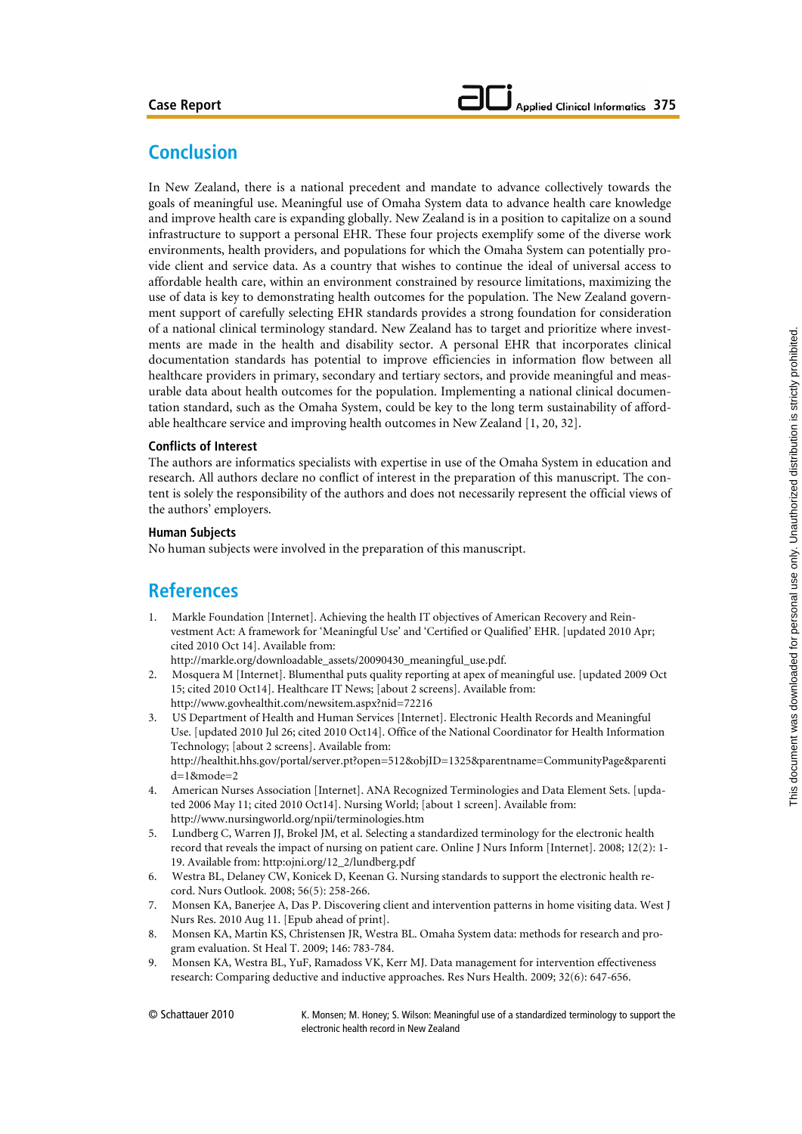# **Conclusion**

In New Zealand, there is a national precedent and mandate to advance collectively towards the goals of meaningful use. Meaningful use of Omaha System data to advance health care knowledge and improve health care is expanding globally. New Zealand is in a position to capitalize on a sound infrastructure to support a personal EHR. These four projects exemplify some of the diverse work environments, health providers, and populations for which the Omaha System can potentially provide client and service data. As a country that wishes to continue the ideal of universal access to affordable health care, within an environment constrained by resource limitations, maximizing the use of data is key to demonstrating health outcomes for the population. The New Zealand government support of carefully selecting EHR standards provides a strong foundation for consideration of a national clinical terminology standard. New Zealand has to target and prioritize where investments are made in the health and disability sector. A personal EHR that incorporates clinical documentation standards has potential to improve efficiencies in information flow between all healthcare providers in primary, secondary and tertiary sectors, and provide meaningful and measurable data about health outcomes for the population. Implementing a national clinical documentation standard, such as the Omaha System, could be key to the long term sustainability of affordable healthcare service and improving health outcomes in New Zealand [1, 20, 32].

#### **Conflicts of Interest**

The authors are informatics specialists with expertise in use of the Omaha System in education and research. All authors declare no conflict of interest in the preparation of this manuscript. The content is solely the responsibility of the authors and does not necessarily represent the official views of the authors' employers.

#### **Human Subjects**

No human subjects were involved in the preparation of this manuscript.

## **References**

Markle Foundation [Internet]. Achieving the health IT objectives of American Recovery and Reinvestment Act: A framework for 'Meaningful Use' and 'Certified or Qualified' EHR. [updated 2010 Apr; cited 2010 Oct 14]. Available from:

http://markle.org/downloadable\_assets/20090430\_meaningful\_use.pdf.

- 2. Mosquera M [Internet]. Blumenthal puts quality reporting at apex of meaningful use. [updated 2009 Oct 15; cited 2010 Oct14]. Healthcare IT News; [about 2 screens]. Available from: http://www.govhealthit.com/newsitem.aspx?nid=72216
- 3. US Department of Health and Human Services [Internet]. Electronic Health Records and Meaningful Use. [updated 2010 Jul 26; cited 2010 Oct14]. Office of the National Coordinator for Health Information Technology; [about 2 screens]. Available from: http://healthit.hhs.gov/portal/server.pt?open=512&objID=1325&parentname=CommunityPage&parenti d=1&mode=2
- 4. American Nurses Association [Internet]. ANA Recognized Terminologies and Data Element Sets. [updated 2006 May 11; cited 2010 Oct14]. Nursing World; [about 1 screen]. Available from: http://www.nursingworld.org/npii/terminologies.htm
- 5. Lundberg C, Warren JJ, Brokel JM, et al. Selecting a standardized terminology for the electronic health record that reveals the impact of nursing on patient care. Online J Nurs Inform [Internet]. 2008; 12(2): 1- 19. Available from: http:ojni.org/12\_2/lundberg.pdf
- 6. Westra BL, Delaney CW, Konicek D, Keenan G. Nursing standards to support the electronic health record. Nurs Outlook. 2008; 56(5): 258-266.
- 7. Monsen KA, Banerjee A, Das P. Discovering client and intervention patterns in home visiting data. West J Nurs Res. 2010 Aug 11. [Epub ahead of print].
- 8. Monsen KA, Martin KS, Christensen JR, Westra BL. Omaha System data: methods for research and program evaluation. St Heal T. 2009; 146: 783-784.
- 9. Monsen KA, Westra BL, YuF, Ramadoss VK, Kerr MJ. Data management for intervention effectiveness research: Comparing deductive and inductive approaches. Res Nurs Health. 2009; 32(6): 647-656.

© Schattauer 2010